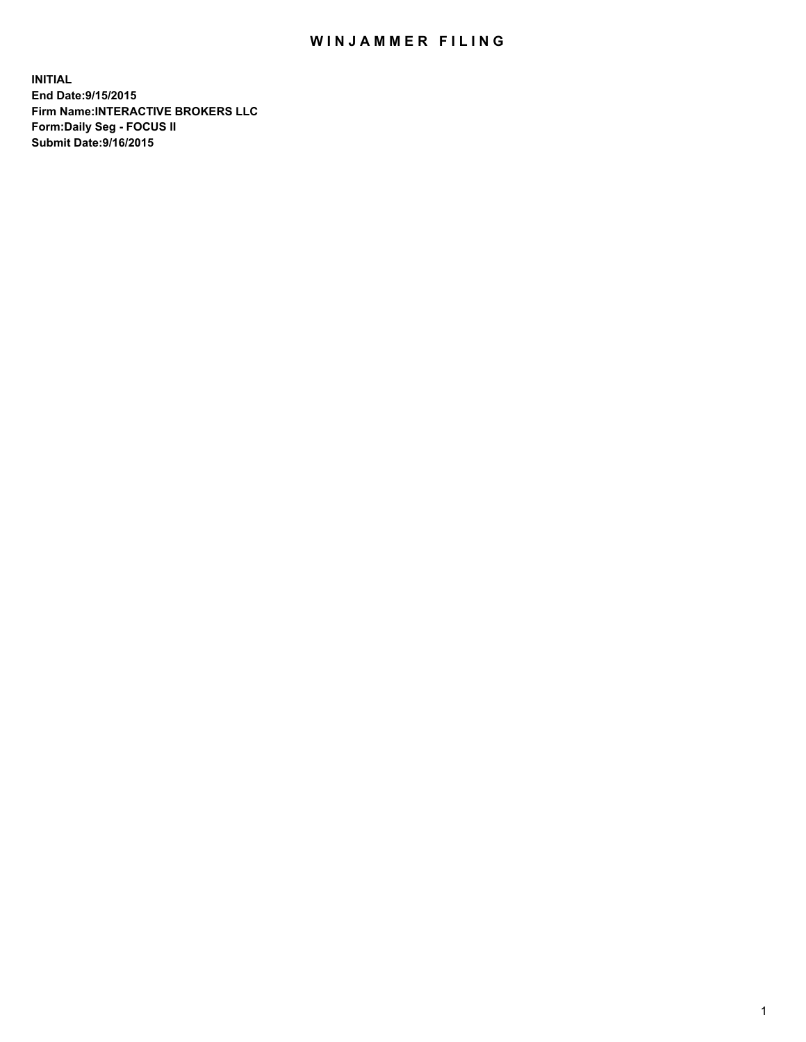## WIN JAMMER FILING

**INITIAL End Date:9/15/2015 Firm Name:INTERACTIVE BROKERS LLC Form:Daily Seg - FOCUS II Submit Date:9/16/2015**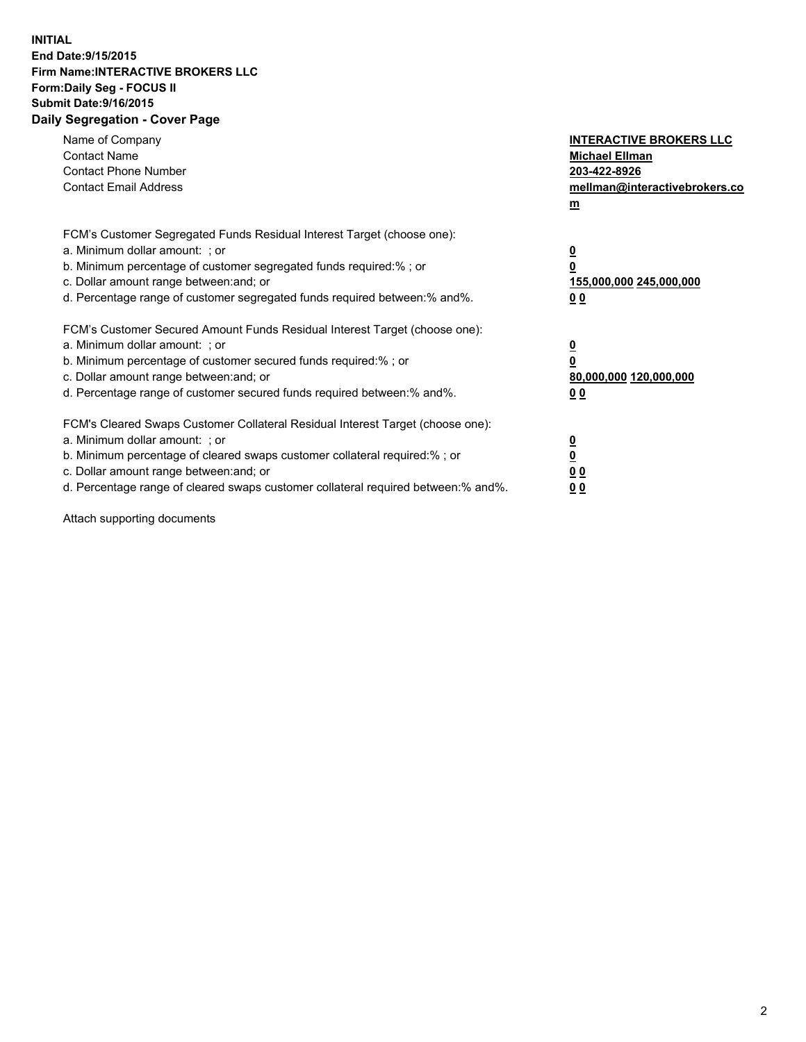## **INITIAL End Date:9/15/2015 Firm Name:INTERACTIVE BROKERS LLC Form:Daily Seg - FOCUS II Submit Date:9/16/2015 Daily Segregation - Cover Page**

| Name of Company<br><b>Contact Name</b><br><b>Contact Phone Number</b><br><b>Contact Email Address</b>                                                                                                                                                                                                                          | <b>INTERACTIVE BROKERS LLC</b><br><b>Michael Ellman</b><br>203-422-8926<br>mellman@interactivebrokers.co<br>$\mathbf{m}$ |
|--------------------------------------------------------------------------------------------------------------------------------------------------------------------------------------------------------------------------------------------------------------------------------------------------------------------------------|--------------------------------------------------------------------------------------------------------------------------|
| FCM's Customer Segregated Funds Residual Interest Target (choose one):<br>a. Minimum dollar amount: ; or<br>b. Minimum percentage of customer segregated funds required:% ; or<br>c. Dollar amount range between: and; or<br>d. Percentage range of customer segregated funds required between:% and%.                         | $\overline{\mathbf{0}}$<br>0<br>155,000,000 245,000,000<br><u>00</u>                                                     |
| FCM's Customer Secured Amount Funds Residual Interest Target (choose one):<br>a. Minimum dollar amount: ; or<br>b. Minimum percentage of customer secured funds required:%; or<br>c. Dollar amount range between: and; or<br>d. Percentage range of customer secured funds required between:% and%.                            | $\overline{\mathbf{0}}$<br>0<br>80,000,000 120,000,000<br>0 <sub>0</sub>                                                 |
| FCM's Cleared Swaps Customer Collateral Residual Interest Target (choose one):<br>a. Minimum dollar amount: ; or<br>b. Minimum percentage of cleared swaps customer collateral required:% ; or<br>c. Dollar amount range between: and; or<br>d. Percentage range of cleared swaps customer collateral required between:% and%. | $\overline{\mathbf{0}}$<br>$\overline{\mathbf{0}}$<br>0 <sub>0</sub><br>0 <sub>0</sub>                                   |

Attach supporting documents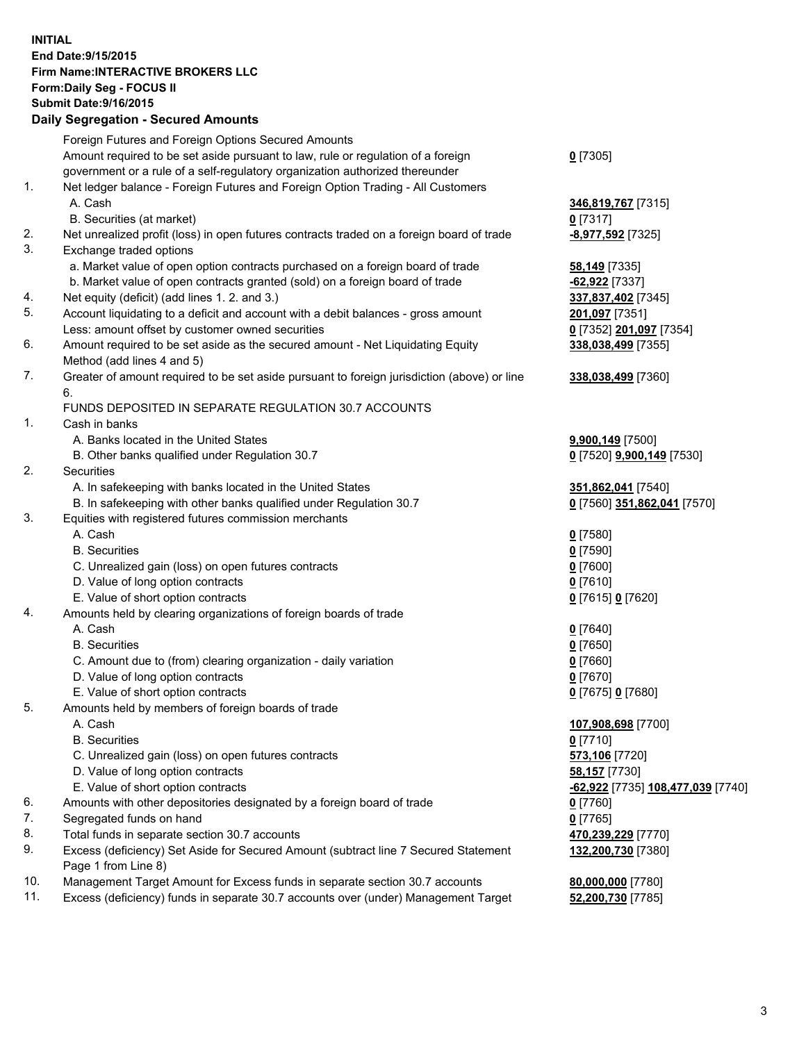## **INITIAL End Date:9/15/2015 Firm Name:INTERACTIVE BROKERS LLC Form:Daily Seg - FOCUS II Submit Date:9/16/2015 Daily Segregation - Secured Amounts**

| Daily Jegregation - Jeculed Aniounts                                                                       |                                   |
|------------------------------------------------------------------------------------------------------------|-----------------------------------|
| Foreign Futures and Foreign Options Secured Amounts                                                        |                                   |
| Amount required to be set aside pursuant to law, rule or regulation of a foreign                           | $0$ [7305]                        |
| government or a rule of a self-regulatory organization authorized thereunder                               |                                   |
| Net ledger balance - Foreign Futures and Foreign Option Trading - All Customers                            |                                   |
| A. Cash                                                                                                    | 346,819,767 [7315]                |
| B. Securities (at market)                                                                                  | $0$ [7317]                        |
| Net unrealized profit (loss) in open futures contracts traded on a foreign board of trade                  | -8,977,592 <sup>[7325]</sup>      |
| Exchange traded options                                                                                    |                                   |
| a. Market value of open option contracts purchased on a foreign board of trade                             | <b>58,149</b> [7335]              |
| b. Market value of open contracts granted (sold) on a foreign board of trade                               | -62,922 [7337]                    |
| Net equity (deficit) (add lines 1.2. and 3.)                                                               | 337,837,402 [7345]                |
| Account liquidating to a deficit and account with a debit balances - gross amount                          | 201,097 [7351]                    |
| Less: amount offset by customer owned securities                                                           | 0 [7352] 201,097 [7354]           |
| Amount required to be set aside as the secured amount - Net Liquidating Equity                             | 338,038,499 [7355]                |
| Method (add lines 4 and 5)                                                                                 |                                   |
| Greater of amount required to be set aside pursuant to foreign jurisdiction (above) or line                | 338,038,499 [7360]                |
| 6.                                                                                                         |                                   |
| FUNDS DEPOSITED IN SEPARATE REGULATION 30.7 ACCOUNTS                                                       |                                   |
| Cash in banks                                                                                              |                                   |
| A. Banks located in the United States                                                                      | 9,900,149 [7500]                  |
| B. Other banks qualified under Regulation 30.7                                                             | 0 [7520] 9,900,149 [7530]         |
| Securities                                                                                                 |                                   |
| A. In safekeeping with banks located in the United States                                                  | 351,862,041 [7540]                |
| B. In safekeeping with other banks qualified under Regulation 30.7                                         | 0 [7560] 351,862,041 [7570]       |
| Equities with registered futures commission merchants                                                      |                                   |
| A. Cash                                                                                                    | $0$ [7580]                        |
| <b>B.</b> Securities                                                                                       | $0$ [7590]                        |
| C. Unrealized gain (loss) on open futures contracts                                                        | $0$ [7600]                        |
| D. Value of long option contracts                                                                          | $0$ [7610]                        |
| E. Value of short option contracts                                                                         | 0 [7615] 0 [7620]                 |
| Amounts held by clearing organizations of foreign boards of trade                                          |                                   |
| A. Cash                                                                                                    | $0$ [7640]                        |
| <b>B.</b> Securities                                                                                       | $0$ [7650]                        |
| C. Amount due to (from) clearing organization - daily variation                                            | $0$ [7660]                        |
| D. Value of long option contracts                                                                          | $0$ [7670]                        |
| E. Value of short option contracts                                                                         | 0 [7675] 0 [7680]                 |
| Amounts held by members of foreign boards of trade                                                         |                                   |
| A. Cash                                                                                                    | 107,908,698 [7700]                |
| <b>B.</b> Securities                                                                                       | $0$ [7710]                        |
| C. Unrealized gain (loss) on open futures contracts                                                        | 573,106 [7720]                    |
| D. Value of long option contracts                                                                          | 58,157 [7730]                     |
| E. Value of short option contracts                                                                         | -62,922 [7735] 108,477,039 [7740] |
| Amounts with other depositories designated by a foreign board of trade                                     | $0$ [7760]                        |
| Segregated funds on hand                                                                                   | $0$ [7765]                        |
| Total funds in separate section 30.7 accounts                                                              | 470,239,229 [7770]                |
| Excess (deficiency) Set Aside for Secured Amount (subtract line 7 Secured Statement<br>Page 1 from Line 8) | 132,200,730 [7380]                |
| Management Target Amount for Excess funds in separate section 30.7 accounts                                | 80,000,000 [7780]                 |
| Excess (deficiency) funds in separate 30.7 accounts over (under) Management Target                         | 52,200,730 [7785]                 |
|                                                                                                            |                                   |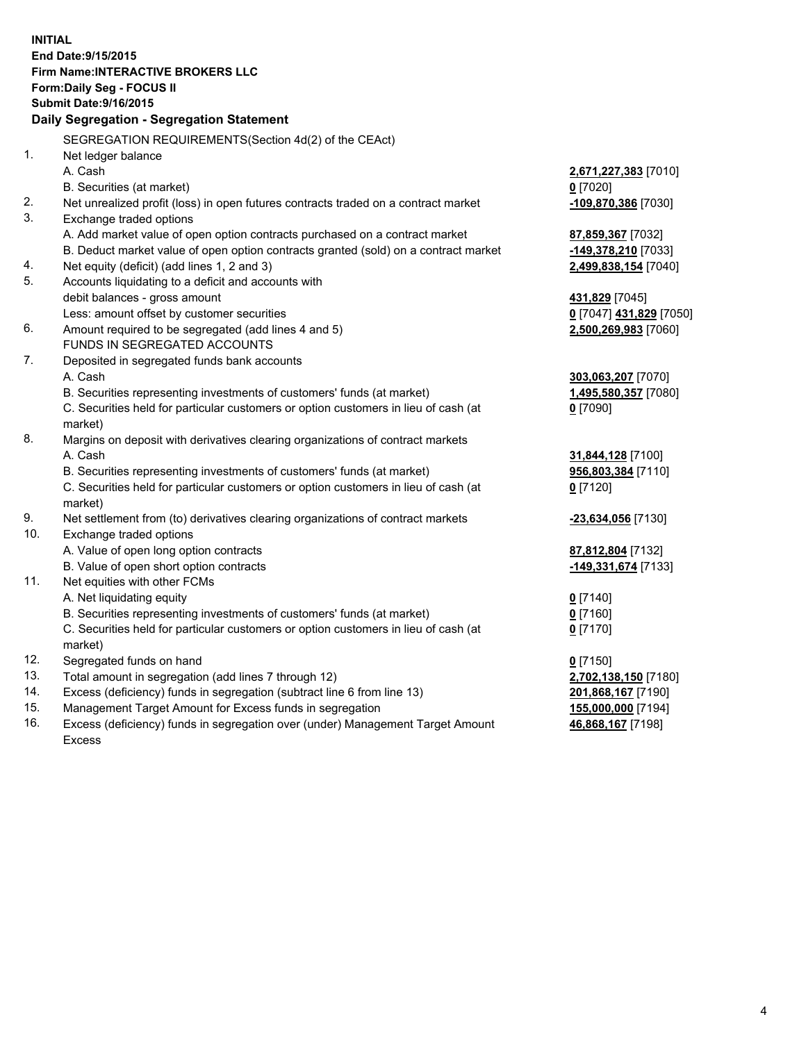**INITIAL End Date:9/15/2015 Firm Name:INTERACTIVE BROKERS LLC Form:Daily Seg - FOCUS II Submit Date:9/16/2015 Daily Segregation - Segregation Statement** SEGREGATION REQUIREMENTS(Section 4d(2) of the CEAct) 1. Net ledger balance A. Cash **2,671,227,383** [7010] B. Securities (at market) **0** [7020] 2. Net unrealized profit (loss) in open futures contracts traded on a contract market **-109,870,386** [7030] 3. Exchange traded options A. Add market value of open option contracts purchased on a contract market **87,859,367** [7032] B. Deduct market value of open option contracts granted (sold) on a contract market **-149,378,210** [7033] 4. Net equity (deficit) (add lines 1, 2 and 3) **2,499,838,154** [7040] 5. Accounts liquidating to a deficit and accounts with debit balances - gross amount **431,829** [7045] Less: amount offset by customer securities **0** [7047] **431,829** [7050] 6. Amount required to be segregated (add lines 4 and 5) **2,500,269,983** [7060] FUNDS IN SEGREGATED ACCOUNTS 7. Deposited in segregated funds bank accounts A. Cash **303,063,207** [7070] B. Securities representing investments of customers' funds (at market) **1,495,580,357** [7080] C. Securities held for particular customers or option customers in lieu of cash (at market) **0** [7090] 8. Margins on deposit with derivatives clearing organizations of contract markets A. Cash **31,844,128** [7100] B. Securities representing investments of customers' funds (at market) **956,803,384** [7110] C. Securities held for particular customers or option customers in lieu of cash (at market) **0** [7120] 9. Net settlement from (to) derivatives clearing organizations of contract markets **-23,634,056** [7130] 10. Exchange traded options A. Value of open long option contracts **87,812,804** [7132] B. Value of open short option contracts **-149,331,674** [7133] 11. Net equities with other FCMs A. Net liquidating equity **0** [7140] B. Securities representing investments of customers' funds (at market) **0** [7160] C. Securities held for particular customers or option customers in lieu of cash (at market) **0** [7170] 12. Segregated funds on hand **0** [7150] 13. Total amount in segregation (add lines 7 through 12) **2,702,138,150** [7180] 14. Excess (deficiency) funds in segregation (subtract line 6 from line 13) **201,868,167** [7190] 15. Management Target Amount for Excess funds in segregation **155,000,000** [7194] 16. Excess (deficiency) funds in segregation over (under) Management Target Amount **46,868,167** [7198]

Excess